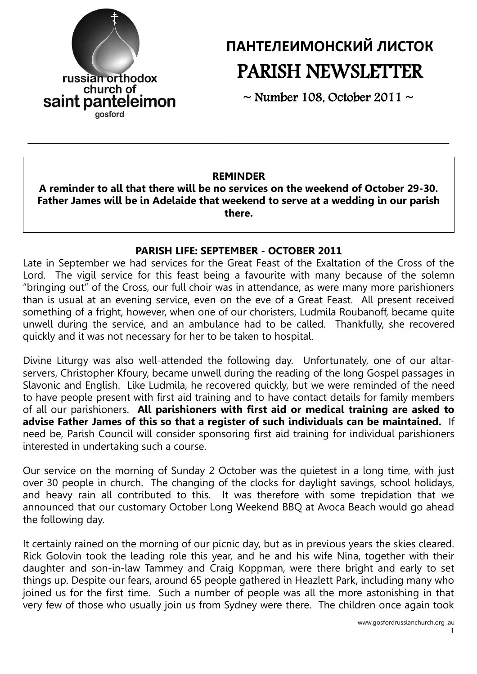

# **ПАНТЕЛЕИМОНСКИЙ ЛИСТОК** PARISH NEWSLETTER

 $\sim$  Number 108, October 2011  $\sim$ 

#### **REMINDER**

**A reminder to all that there will be no services on the weekend of October 29-30. Father James will be in Adelaide that weekend to serve at a wedding in our parish there.**

#### **PARISH LIFE: SEPTEMBER - OCTOBER 2011**

Late in September we had services for the Great Feast of the Exaltation of the Cross of the Lord. The vigil service for this feast being a favourite with many because of the solemn "bringing out" of the Cross, our full choir was in attendance, as were many more parishioners than is usual at an evening service, even on the eve of a Great Feast. All present received something of a fright, however, when one of our choristers, Ludmila Roubanoff, became quite unwell during the service, and an ambulance had to be called. Thankfully, she recovered quickly and it was not necessary for her to be taken to hospital.

Divine Liturgy was also well-attended the following day. Unfortunately, one of our altarservers, Christopher Kfoury, became unwell during the reading of the long Gospel passages in Slavonic and English. Like Ludmila, he recovered quickly, but we were reminded of the need to have people present with first aid training and to have contact details for family members of all our parishioners. **All parishioners with first aid or medical training are asked to advise Father James of this so that a register of such individuals can be maintained.** If need be, Parish Council will consider sponsoring first aid training for individual parishioners interested in undertaking such a course.

Our service on the morning of Sunday 2 October was the quietest in a long time, with just over 30 people in church. The changing of the clocks for daylight savings, school holidays, and heavy rain all contributed to this. It was therefore with some trepidation that we announced that our customary October Long Weekend BBQ at Avoca Beach would go ahead the following day.

It certainly rained on the morning of our picnic day, but as in previous years the skies cleared. Rick Golovin took the leading role this year, and he and his wife Nina, together with their daughter and son-in-law Tammey and Craig Koppman, were there bright and early to set things up. Despite our fears, around 65 people gathered in Heazlett Park, including many who joined us for the first time. Such a number of people was all the more astonishing in that very few of those who usually join us from Sydney were there. The children once again took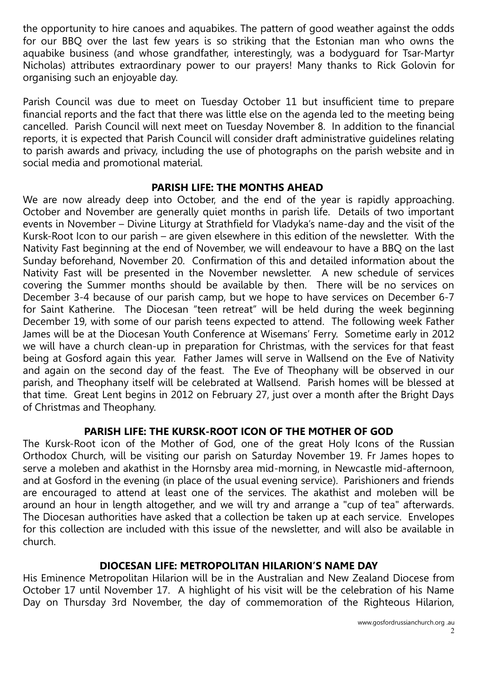the opportunity to hire canoes and aquabikes. The pattern of good weather against the odds for our BBQ over the last few years is so striking that the Estonian man who owns the aquabike business (and whose grandfather, interestingly, was a bodyguard for Tsar-Martyr Nicholas) attributes extraordinary power to our prayers! Many thanks to Rick Golovin for organising such an enjoyable day.

Parish Council was due to meet on Tuesday October 11 but insufficient time to prepare financial reports and the fact that there was little else on the agenda led to the meeting being cancelled. Parish Council will next meet on Tuesday November 8. In addition to the financial reports, it is expected that Parish Council will consider draft administrative guidelines relating to parish awards and privacy, including the use of photographs on the parish website and in social media and promotional material.

### **PARISH LIFE: THE MONTHS AHEAD**

We are now already deep into October, and the end of the year is rapidly approaching. October and November are generally quiet months in parish life. Details of two important events in November – Divine Liturgy at Strathfield for Vladyka's name-day and the visit of the Kursk-Root Icon to our parish – are given elsewhere in this edition of the newsletter. With the Nativity Fast beginning at the end of November, we will endeavour to have a BBQ on the last Sunday beforehand, November 20. Confirmation of this and detailed information about the Nativity Fast will be presented in the November newsletter. A new schedule of services covering the Summer months should be available by then. There will be no services on December 3-4 because of our parish camp, but we hope to have services on December 6-7 for Saint Katherine. The Diocesan "teen retreat" will be held during the week beginning December 19, with some of our parish teens expected to attend. The following week Father James will be at the Diocesan Youth Conference at Wisemans' Ferry. Sometime early in 2012 we will have a church clean-up in preparation for Christmas, with the services for that feast being at Gosford again this year. Father James will serve in Wallsend on the Eve of Nativity and again on the second day of the feast. The Eve of Theophany will be observed in our parish, and Theophany itself will be celebrated at Wallsend. Parish homes will be blessed at that time. Great Lent begins in 2012 on February 27, just over a month after the Bright Days of Christmas and Theophany.

# **PARISH LIFE: THE KURSK-ROOT ICON OF THE MOTHER OF GOD**

The Kursk-Root icon of the Mother of God, one of the great Holy Icons of the Russian Orthodox Church, will be visiting our parish on Saturday November 19. Fr James hopes to serve a moleben and akathist in the Hornsby area mid-morning, in Newcastle mid-afternoon, and at Gosford in the evening (in place of the usual evening service). Parishioners and friends are encouraged to attend at least one of the services. The akathist and moleben will be around an hour in length altogether, and we will try and arrange a "cup of tea" afterwards. The Diocesan authorities have asked that a collection be taken up at each service. Envelopes for this collection are included with this issue of the newsletter, and will also be available in church.

# **DIOCESAN LIFE: METROPOLITAN HILARION'S NAME DAY**

His Eminence Metropolitan Hilarion will be in the Australian and New Zealand Diocese from October 17 until November 17. A highlight of his visit will be the celebration of his Name Day on Thursday 3rd November, the day of commemoration of the Righteous Hilarion,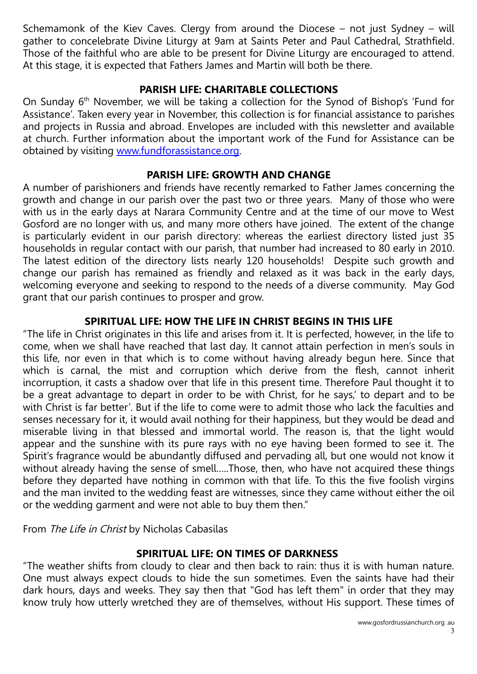Schemamonk of the Kiev Caves. Clergy from around the Diocese – not just Sydney – will gather to concelebrate Divine Liturgy at 9am at Saints Peter and Paul Cathedral, Strathfield. Those of the faithful who are able to be present for Divine Liturgy are encouraged to attend. At this stage, it is expected that Fathers James and Martin will both be there.

### **PARISH LIFE: CHARITABLE COLLECTIONS**

On Sunday  $6<sup>th</sup>$  November, we will be taking a collection for the Synod of Bishop's 'Fund for Assistance'. Taken every year in November, this collection is for financial assistance to parishes and projects in Russia and abroad. Envelopes are included with this newsletter and available at church. Further information about the important work of the Fund for Assistance can be obtained by visiting [www.fundforassistance.org.](http://www.fundforassistance.org/)

### **PARISH LIFE: GROWTH AND CHANGE**

A number of parishioners and friends have recently remarked to Father James concerning the growth and change in our parish over the past two or three years. Many of those who were with us in the early days at Narara Community Centre and at the time of our move to West Gosford are no longer with us, and many more others have joined. The extent of the change is particularly evident in our parish directory: whereas the earliest directory listed just 35 households in regular contact with our parish, that number had increased to 80 early in 2010. The latest edition of the directory lists nearly 120 households! Despite such growth and change our parish has remained as friendly and relaxed as it was back in the early days, welcoming everyone and seeking to respond to the needs of a diverse community. May God grant that our parish continues to prosper and grow.

### **SPIRITUAL LIFE: HOW THE LIFE IN CHRIST BEGINS IN THIS LIFE**

"The life in Christ originates in this life and arises from it. It is perfected, however, in the life to come, when we shall have reached that last day. It cannot attain perfection in men's souls in this life, nor even in that which is to come without having already begun here. Since that which is carnal, the mist and corruption which derive from the flesh, cannot inherit incorruption, it casts a shadow over that life in this present time. Therefore Paul thought it to be a great advantage to depart in order to be with Christ, for he says,' to depart and to be with Christ is far better'. But if the life to come were to admit those who lack the faculties and senses necessary for it, it would avail nothing for their happiness, but they would be dead and miserable living in that blessed and immortal world. The reason is, that the light would appear and the sunshine with its pure rays with no eye having been formed to see it. The Spirit's fragrance would be abundantly diffused and pervading all, but one would not know it without already having the sense of smell…..Those, then, who have not acquired these things before they departed have nothing in common with that life. To this the five foolish virgins and the man invited to the wedding feast are witnesses, since they came without either the oil or the wedding garment and were not able to buy them then."

From The Life in Christ by Nicholas Cabasilas

#### **SPIRITUAL LIFE: ON TIMES OF DARKNESS**

"The weather shifts from cloudy to clear and then back to rain: thus it is with human nature. One must always expect clouds to hide the sun sometimes. Even the saints have had their dark hours, days and weeks. They say then that "God has left them" in order that they may know truly how utterly wretched they are of themselves, without His support. These times of